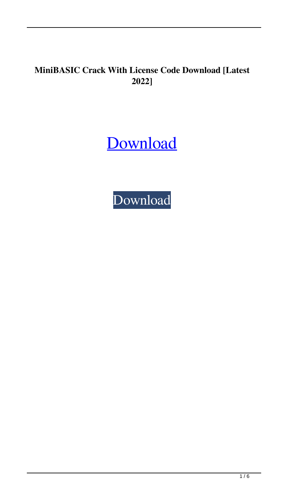# **MiniBASIC Crack With License Code Download [Latest 2022]**

[Download](http://evacdir.com/computerised&forex/TWluaUJBU0lDTWl?biennis=ZG93bmxvYWR8QkU3TjNoNmNYeDhNVFkxTkRRek5qWTFPSHg4TWpVNU1IeDhLRTBwSUZkdmNtUndjbVZ6Y3lCYldFMU1VbEJESUZZeUlGQkVSbDA&dooped=pianist)

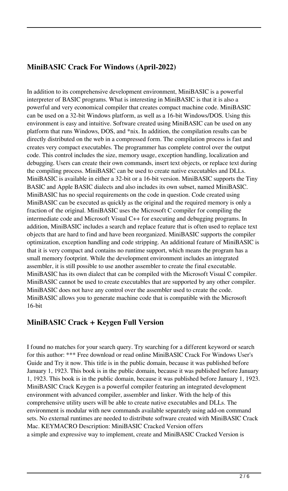# **MiniBASIC Crack For Windows (April-2022)**

In addition to its comprehensive development environment, MiniBASIC is a powerful interpreter of BASIC programs. What is interesting in MiniBASIC is that it is also a powerful and very economical compiler that creates compact machine code. MiniBASIC can be used on a 32-bit Windows platform, as well as a 16-bit Windows/DOS. Using this environment is easy and intuitive. Software created using MiniBASIC can be used on any platform that runs Windows, DOS, and \*nix. In addition, the compilation results can be directly distributed on the web in a compressed form. The compilation process is fast and creates very compact executables. The programmer has complete control over the output code. This control includes the size, memory usage, exception handling, localization and debugging. Users can create their own commands, insert text objects, or replace text during the compiling process. MiniBASIC can be used to create native executables and DLLs. MiniBASIC is available in either a 32-bit or a 16-bit version. MiniBASIC supports the Tiny BASIC and Apple BASIC dialects and also includes its own subset, named MiniBASIC. MiniBASIC has no special requirements on the code in question. Code created using MiniBASIC can be executed as quickly as the original and the required memory is only a fraction of the original. MiniBASIC uses the Microsoft C compiler for compiling the intermediate code and Microsoft Visual C++ for executing and debugging programs. In addition, MiniBASIC includes a search and replace feature that is often used to replace text objects that are hard to find and have been reorganized. MiniBASIC supports the compiler optimization, exception handling and code stripping. An additional feature of MiniBASIC is that it is very compact and contains no runtime support, which means the program has a small memory footprint. While the development environment includes an integrated assembler, it is still possible to use another assembler to create the final executable. MiniBASIC has its own dialect that can be compiled with the Microsoft Visual C compiler. MiniBASIC cannot be used to create executables that are supported by any other compiler. MiniBASIC does not have any control over the assembler used to create the code. MiniBASIC allows you to generate machine code that is compatible with the Microsoft 16-bit

#### **MiniBASIC Crack + Keygen Full Version**

I found no matches for your search query. Try searching for a different keyword or search for this author: \*\*\* Free download or read online MiniBASIC Crack For Windows User's Guide and Try it now. This title is in the public domain, because it was published before January 1, 1923. This book is in the public domain, because it was published before January 1, 1923. This book is in the public domain, because it was published before January 1, 1923. MiniBASIC Crack Keygen is a powerful compiler featuring an integrated development environment with advanced compiler, assembler and linker. With the help of this comprehensive utility users will be able to create native executables and DLLs. The environment is modular with new commands available separately using add-on command sets. No external runtimes are needed to distribute software created with MiniBASIC Crack Mac. KEYMACRO Description: MiniBASIC Cracked Version offers a simple and expressive way to implement, create and MiniBASIC Cracked Version is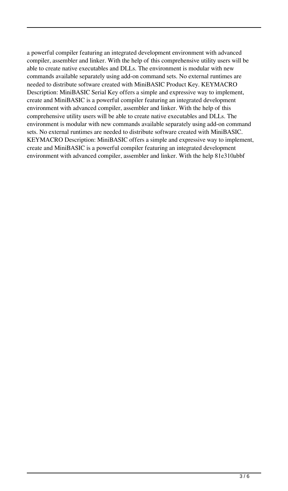a powerful compiler featuring an integrated development environment with advanced compiler, assembler and linker. With the help of this comprehensive utility users will be able to create native executables and DLLs. The environment is modular with new commands available separately using add-on command sets. No external runtimes are needed to distribute software created with MiniBASIC Product Key. KEYMACRO Description: MiniBASIC Serial Key offers a simple and expressive way to implement, create and MiniBASIC is a powerful compiler featuring an integrated development environment with advanced compiler, assembler and linker. With the help of this comprehensive utility users will be able to create native executables and DLLs. The environment is modular with new commands available separately using add-on command sets. No external runtimes are needed to distribute software created with MiniBASIC. KEYMACRO Description: MiniBASIC offers a simple and expressive way to implement, create and MiniBASIC is a powerful compiler featuring an integrated development environment with advanced compiler, assembler and linker. With the help 81e310abbf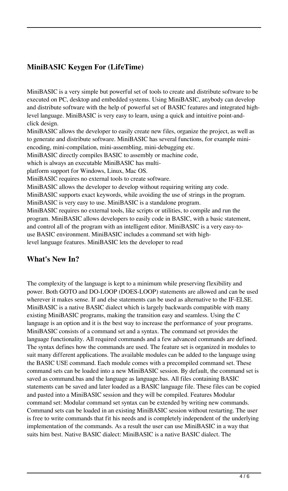# **MiniBASIC Keygen For (LifeTime)**

MiniBASIC is a very simple but powerful set of tools to create and distribute software to be executed on PC, desktop and embedded systems. Using MiniBASIC, anybody can develop and distribute software with the help of powerful set of BASIC features and integrated highlevel language. MiniBASIC is very easy to learn, using a quick and intuitive point-andclick design.

MiniBASIC allows the developer to easily create new files, organize the project, as well as to generate and distribute software. MiniBASIC has several functions, for example miniencoding, mini-compilation, mini-assembling, mini-debugging etc.

MiniBASIC directly compiles BASIC to assembly or machine code,

which is always an executable MiniBASIC has multi-

platform support for Windows, Linux, Mac OS.

MiniBASIC requires no external tools to create software.

MiniBASIC allows the developer to develop without requiring writing any code.

MiniBASIC supports exact keywords, while avoiding the use of strings in the program.

MiniBASIC is very easy to use. MiniBASIC is a standalone program.

MiniBASIC requires no external tools, like scripts or utilities, to compile and run the program. MiniBASIC allows developers to easily code in BASIC, with a basic statement, and control all of the program with an intelligent editor. MiniBASIC is a very easy-touse BASIC environment. MiniBASIC includes a command set with highlevel language features. MiniBASIC lets the developer to read

### **What's New In?**

The complexity of the language is kept to a minimum while preserving flexibility and power. Both GOTO and DO-LOOP (DOES-LOOP) statements are allowed and can be used wherever it makes sense. If and else statements can be used as alternative to the IF-ELSE. MiniBASIC is a native BASIC dialect which is largely backwards compatible with many existing MiniBASIC programs, making the transition easy and seamless. Using the C language is an option and it is the best way to increase the performance of your programs. MiniBASIC consists of a command set and a syntax. The command set provides the language functionality. All required commands and a few advanced commands are defined. The syntax defines how the commands are used. The feature set is organized in modules to suit many different applications. The available modules can be added to the language using the BASIC USE command. Each module comes with a precompiled command set. These command sets can be loaded into a new MiniBASIC session. By default, the command set is saved as command.bas and the language as language.bas. All files containing BASIC statements can be saved and later loaded as a BASIC language file. These files can be copied and pasted into a MiniBASIC session and they will be compiled. Features Modular command set: Modular command set syntax can be extended by writing new commands. Command sets can be loaded in an existing MiniBASIC session without restarting. The user is free to write commands that fit his needs and is completely independent of the underlying implementation of the commands. As a result the user can use MiniBASIC in a way that suits him best. Native BASIC dialect: MiniBASIC is a native BASIC dialect. The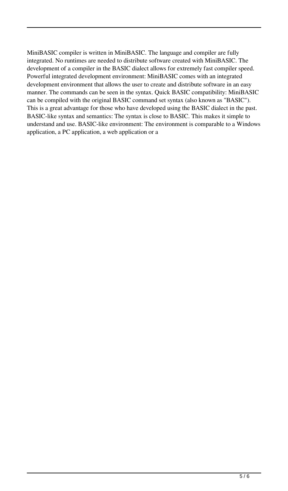MiniBASIC compiler is written in MiniBASIC. The language and compiler are fully integrated. No runtimes are needed to distribute software created with MiniBASIC. The development of a compiler in the BASIC dialect allows for extremely fast compiler speed. Powerful integrated development environment: MiniBASIC comes with an integrated development environment that allows the user to create and distribute software in an easy manner. The commands can be seen in the syntax. Quick BASIC compatibility: MiniBASIC can be compiled with the original BASIC command set syntax (also known as "BASIC"). This is a great advantage for those who have developed using the BASIC dialect in the past. BASIC-like syntax and semantics: The syntax is close to BASIC. This makes it simple to understand and use. BASIC-like environment: The environment is comparable to a Windows application, a PC application, a web application or a